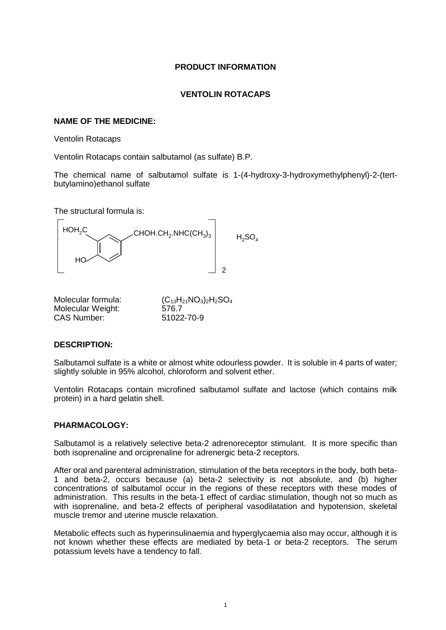# **PRODUCT INFORMATION**

# **VENTOLIN ROTACAPS**

# **NAME OF THE MEDICINE:**

Ventolin Rotacaps

Ventolin Rotacaps contain salbutamol (as sulfate) B.P.

The chemical name of salbutamol sulfate is 1-(4-hydroxy-3-hydroxymethylphenyl)-2-(tertbutylamino)ethanol sulfate

The structural formula is:



| Molecular formula: | $(C_{13}H_{21}NO_3)_2H_2SO_4$ |
|--------------------|-------------------------------|
| Molecular Weight:  | 576.7                         |
| CAS Number:        | 51022-70-9                    |

## **DESCRIPTION:**

Salbutamol sulfate is a white or almost white odourless powder. It is soluble in 4 parts of water; slightly soluble in 95% alcohol, chloroform and solvent ether.

Ventolin Rotacaps contain microfined salbutamol sulfate and lactose (which contains milk protein) in a hard gelatin shell.

## **PHARMACOLOGY:**

Salbutamol is a relatively selective beta-2 adrenoreceptor stimulant. It is more specific than both isoprenaline and orciprenaline for adrenergic beta-2 receptors.

After oral and parenteral administration, stimulation of the beta receptors in the body, both beta-1 and beta-2, occurs because (a) beta-2 selectivity is not absolute, and (b) higher concentrations of salbutamol occur in the regions of these receptors with these modes of administration. This results in the beta-1 effect of cardiac stimulation, though not so much as with isoprenaline, and beta-2 effects of peripheral vasodilatation and hypotension, skeletal muscle tremor and uterine muscle relaxation.

Metabolic effects such as hyperinsulinaemia and hyperglycaemia also may occur, although it is not known whether these effects are mediated by beta-1 or beta-2 receptors. The serum potassium levels have a tendency to fall.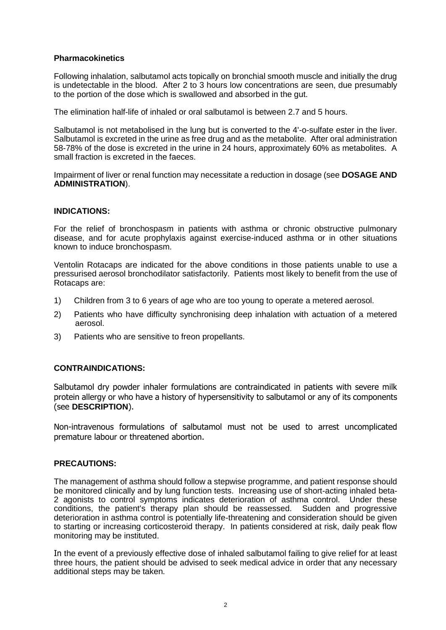# **Pharmacokinetics**

Following inhalation, salbutamol acts topically on bronchial smooth muscle and initially the drug is undetectable in the blood. After 2 to 3 hours low concentrations are seen, due presumably to the portion of the dose which is swallowed and absorbed in the gut.

The elimination half-life of inhaled or oral salbutamol is between 2.7 and 5 hours.

Salbutamol is not metabolised in the lung but is converted to the 4'-o-sulfate ester in the liver. Salbutamol is excreted in the urine as free drug and as the metabolite. After oral administration 58-78% of the dose is excreted in the urine in 24 hours, approximately 60% as metabolites. A small fraction is excreted in the faeces.

Impairment of liver or renal function may necessitate a reduction in dosage (see **DOSAGE AND ADMINISTRATION**).

## **INDICATIONS:**

For the relief of bronchospasm in patients with asthma or chronic obstructive pulmonary disease, and for acute prophylaxis against exercise-induced asthma or in other situations known to induce bronchospasm.

Ventolin Rotacaps are indicated for the above conditions in those patients unable to use a pressurised aerosol bronchodilator satisfactorily. Patients most likely to benefit from the use of Rotacaps are:

- 1) Children from 3 to 6 years of age who are too young to operate a metered aerosol.
- 2) Patients who have difficulty synchronising deep inhalation with actuation of a metered aerosol.
- 3) Patients who are sensitive to freon propellants.

## **CONTRAINDICATIONS:**

Salbutamol dry powder inhaler formulations are contraindicated in patients with severe milk protein allergy or who have a history of hypersensitivity to salbutamol or any of its components (see **DESCRIPTION**).

Non-intravenous formulations of salbutamol must not be used to arrest uncomplicated premature labour or threatened abortion.

## **PRECAUTIONS:**

The management of asthma should follow a stepwise programme, and patient response should be monitored clinically and by lung function tests. Increasing use of short-acting inhaled beta-2 agonists to control symptoms indicates deterioration of asthma control. Under these conditions, the patient's therapy plan should be reassessed. Sudden and progressive deterioration in asthma control is potentially life-threatening and consideration should be given to starting or increasing corticosteroid therapy. In patients considered at risk, daily peak flow monitoring may be instituted.

In the event of a previously effective dose of inhaled salbutamol failing to give relief for at least three hours, the patient should be advised to seek medical advice in order that any necessary additional steps may be taken.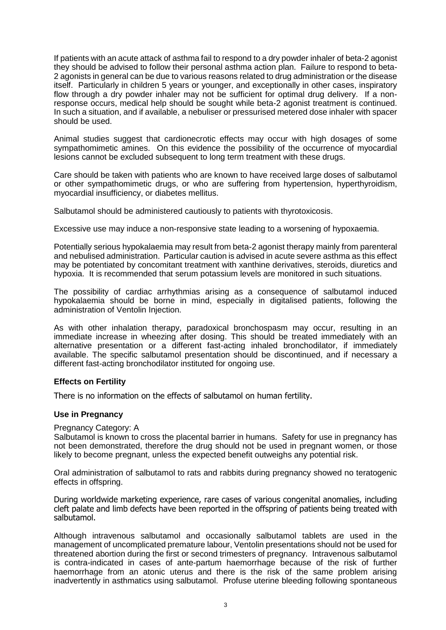If patients with an acute attack of asthma fail to respond to a dry powder inhaler of beta-2 agonist they should be advised to follow their personal asthma action plan. Failure to respond to beta-2 agonists in general can be due to various reasons related to drug administration or the disease itself. Particularly in children 5 years or younger, and exceptionally in other cases, inspiratory flow through a dry powder inhaler may not be sufficient for optimal drug delivery. If a nonresponse occurs, medical help should be sought while beta-2 agonist treatment is continued. In such a situation, and if available, a nebuliser or pressurised metered dose inhaler with spacer should be used.

Animal studies suggest that cardionecrotic effects may occur with high dosages of some sympathomimetic amines. On this evidence the possibility of the occurrence of myocardial lesions cannot be excluded subsequent to long term treatment with these drugs.

Care should be taken with patients who are known to have received large doses of salbutamol or other sympathomimetic drugs, or who are suffering from hypertension, hyperthyroidism, myocardial insufficiency, or diabetes mellitus.

Salbutamol should be administered cautiously to patients with thyrotoxicosis.

Excessive use may induce a non-responsive state leading to a worsening of hypoxaemia.

Potentially serious hypokalaemia may result from beta-2 agonist therapy mainly from parenteral and nebulised administration. Particular caution is advised in acute severe asthma as this effect may be potentiated by concomitant treatment with xanthine derivatives, steroids, diuretics and hypoxia. It is recommended that serum potassium levels are monitored in such situations.

The possibility of cardiac arrhythmias arising as a consequence of salbutamol induced hypokalaemia should be borne in mind, especially in digitalised patients, following the administration of Ventolin Injection.

As with other inhalation therapy, paradoxical bronchospasm may occur, resulting in an immediate increase in wheezing after dosing. This should be treated immediately with an alternative presentation or a different fast-acting inhaled bronchodilator, if immediately available. The specific salbutamol presentation should be discontinued, and if necessary a different fast-acting bronchodilator instituted for ongoing use.

## **Effects on Fertility**

There is no information on the effects of salbutamol on human fertility.

## **Use in Pregnancy**

Pregnancy Category: A

Salbutamol is known to cross the placental barrier in humans. Safety for use in pregnancy has not been demonstrated, therefore the drug should not be used in pregnant women, or those likely to become pregnant, unless the expected benefit outweighs any potential risk.

Oral administration of salbutamol to rats and rabbits during pregnancy showed no teratogenic effects in offspring.

During worldwide marketing experience, rare cases of various congenital anomalies, including cleft palate and limb defects have been reported in the offspring of patients being treated with salbutamol.

Although intravenous salbutamol and occasionally salbutamol tablets are used in the management of uncomplicated premature labour, Ventolin presentations should not be used for threatened abortion during the first or second trimesters of pregnancy. Intravenous salbutamol is contra-indicated in cases of ante-partum haemorrhage because of the risk of further haemorrhage from an atonic uterus and there is the risk of the same problem arising inadvertently in asthmatics using salbutamol. Profuse uterine bleeding following spontaneous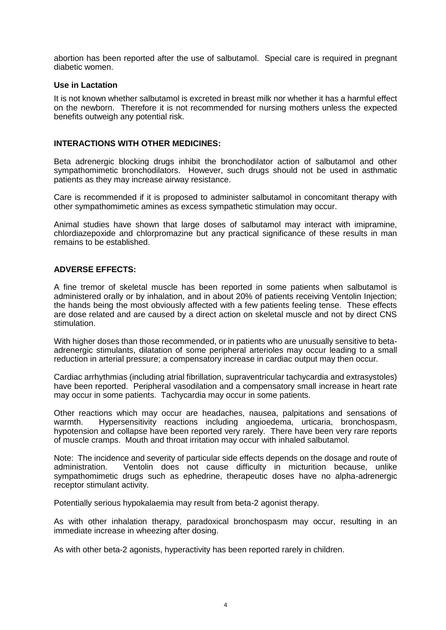abortion has been reported after the use of salbutamol. Special care is required in pregnant diabetic women.

## **Use in Lactation**

It is not known whether salbutamol is excreted in breast milk nor whether it has a harmful effect on the newborn. Therefore it is not recommended for nursing mothers unless the expected benefits outweigh any potential risk.

## **INTERACTIONS WITH OTHER MEDICINES:**

Beta adrenergic blocking drugs inhibit the bronchodilator action of salbutamol and other sympathomimetic bronchodilators. However, such drugs should not be used in asthmatic patients as they may increase airway resistance.

Care is recommended if it is proposed to administer salbutamol in concomitant therapy with other sympathomimetic amines as excess sympathetic stimulation may occur.

Animal studies have shown that large doses of salbutamol may interact with imipramine, chlordiazepoxide and chlorpromazine but any practical significance of these results in man remains to be established.

## **ADVERSE EFFECTS:**

A fine tremor of skeletal muscle has been reported in some patients when salbutamol is administered orally or by inhalation, and in about 20% of patients receiving Ventolin Injection; the hands being the most obviously affected with a few patients feeling tense. These effects are dose related and are caused by a direct action on skeletal muscle and not by direct CNS stimulation.

With higher doses than those recommended, or in patients who are unusually sensitive to betaadrenergic stimulants, dilatation of some peripheral arterioles may occur leading to a small reduction in arterial pressure; a compensatory increase in cardiac output may then occur.

Cardiac arrhythmias (including atrial fibrillation, supraventricular tachycardia and extrasystoles) have been reported. Peripheral vasodilation and a compensatory small increase in heart rate may occur in some patients. Tachycardia may occur in some patients.

Other reactions which may occur are headaches, nausea, palpitations and sensations of warmth. Hypersensitivity reactions including angioedema, urticaria, bronchospasm, hypotension and collapse have been reported very rarely. There have been very rare reports of muscle cramps. Mouth and throat irritation may occur with inhaled salbutamol.

Note: The incidence and severity of particular side effects depends on the dosage and route of administration. Ventolin does not cause difficulty in micturition because, unlike sympathomimetic drugs such as ephedrine, therapeutic doses have no alpha-adrenergic receptor stimulant activity.

Potentially serious hypokalaemia may result from beta-2 agonist therapy.

As with other inhalation therapy, paradoxical bronchospasm may occur, resulting in an immediate increase in wheezing after dosing.

As with other beta-2 agonists, hyperactivity has been reported rarely in children.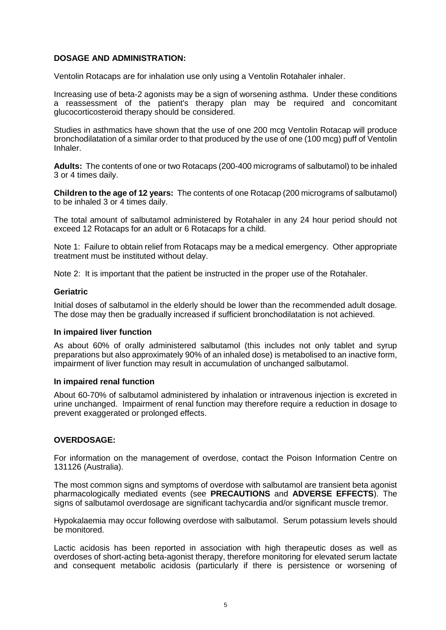# **DOSAGE AND ADMINISTRATION:**

Ventolin Rotacaps are for inhalation use only using a Ventolin Rotahaler inhaler.

Increasing use of beta-2 agonists may be a sign of worsening asthma. Under these conditions a reassessment of the patient's therapy plan may be required and concomitant glucocorticosteroid therapy should be considered.

Studies in asthmatics have shown that the use of one 200 mcg Ventolin Rotacap will produce bronchodilatation of a similar order to that produced by the use of one (100 mcg) puff of Ventolin Inhaler.

**Adults:** The contents of one or two Rotacaps (200-400 micrograms of salbutamol) to be inhaled 3 or 4 times daily.

**Children to the age of 12 years:** The contents of one Rotacap (200 micrograms of salbutamol) to be inhaled 3 or 4 times daily.

The total amount of salbutamol administered by Rotahaler in any 24 hour period should not exceed 12 Rotacaps for an adult or 6 Rotacaps for a child.

Note 1: Failure to obtain relief from Rotacaps may be a medical emergency. Other appropriate treatment must be instituted without delay.

Note 2: It is important that the patient be instructed in the proper use of the Rotahaler.

## **Geriatric**

Initial doses of salbutamol in the elderly should be lower than the recommended adult dosage. The dose may then be gradually increased if sufficient bronchodilatation is not achieved.

## **In impaired liver function**

As about 60% of orally administered salbutamol (this includes not only tablet and syrup preparations but also approximately 90% of an inhaled dose) is metabolised to an inactive form, impairment of liver function may result in accumulation of unchanged salbutamol.

#### **In impaired renal function**

About 60-70% of salbutamol administered by inhalation or intravenous injection is excreted in urine unchanged. Impairment of renal function may therefore require a reduction in dosage to prevent exaggerated or prolonged effects.

## **OVERDOSAGE:**

For information on the management of overdose, contact the Poison Information Centre on 131126 (Australia).

The most common signs and symptoms of overdose with salbutamol are transient beta agonist pharmacologically mediated events (see **PRECAUTIONS** and **ADVERSE EFFECTS**). The signs of salbutamol overdosage are significant tachycardia and/or significant muscle tremor.

Hypokalaemia may occur following overdose with salbutamol. Serum potassium levels should be monitored.

Lactic acidosis has been reported in association with high therapeutic doses as well as overdoses of short-acting beta-agonist therapy, therefore monitoring for elevated serum lactate and consequent metabolic acidosis (particularly if there is persistence or worsening of